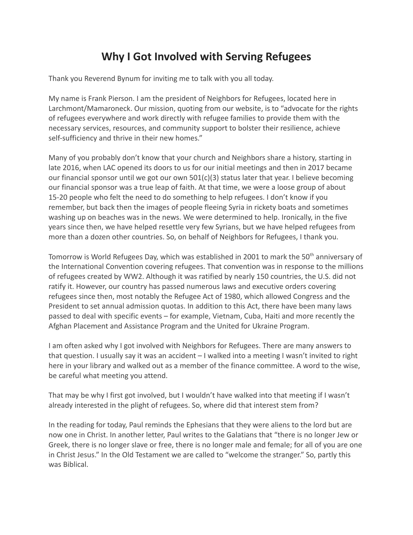## **Why I Got Involved with Serving Refugees**

Thank you Reverend Bynum for inviting me to talk with you all today.

My name is Frank Pierson. I am the president of Neighbors for Refugees, located here in Larchmont/Mamaroneck. Our mission, quoting from our website, is to "advocate for the rights of refugees everywhere and work directly with refugee families to provide them with the necessary services, resources, and community support to bolster their resilience, achieve self-sufficiency and thrive in their new homes."

Many of you probably don't know that your church and Neighbors share a history, starting in late 2016, when LAC opened its doors to us for our initial meetings and then in 2017 became our financial sponsor until we got our own  $501(c)(3)$  status later that year. I believe becoming our financial sponsor was a true leap of faith. At that time, we were a loose group of about 15-20 people who felt the need to do something to help refugees. I don't know if you remember, but back then the images of people fleeing Syria in rickety boats and sometimes washing up on beaches was in the news. We were determined to help. Ironically, in the five years since then, we have helped resettle very few Syrians, but we have helped refugees from more than a dozen other countries. So, on behalf of Neighbors for Refugees, I thank you.

Tomorrow is World Refugees Day, which was established in 2001 to mark the 50<sup>th</sup> anniversary of the International Convention covering refugees. That convention was in response to the millions of refugees created by WW2. Although it was ratified by nearly 150 countries, the U.S. did not ratify it. However, our country has passed numerous laws and executive orders covering refugees since then, most notably the Refugee Act of 1980, which allowed Congress and the President to set annual admission quotas. In addition to this Act, there have been many laws passed to deal with specific events – for example, Vietnam, Cuba, Haiti and more recently the Afghan Placement and Assistance Program and the United for Ukraine Program.

I am often asked why I got involved with Neighbors for Refugees. There are many answers to that question. I usually say it was an accident – I walked into a meeting I wasn't invited to right here in your library and walked out as a member of the finance committee. A word to the wise, be careful what meeting you attend.

That may be why I first got involved, but I wouldn't have walked into that meeting if I wasn't already interested in the plight of refugees. So, where did that interest stem from?

In the reading for today, Paul reminds the Ephesians that they were aliens to the lord but are now one in Christ. In another letter, Paul writes to the Galatians that "there is no longer Jew or Greek, there is no longer slave or free, there is no longer male and female; for all of you are one in Christ Jesus." In the Old Testament we are called to "welcome the stranger." So, partly this was Biblical.